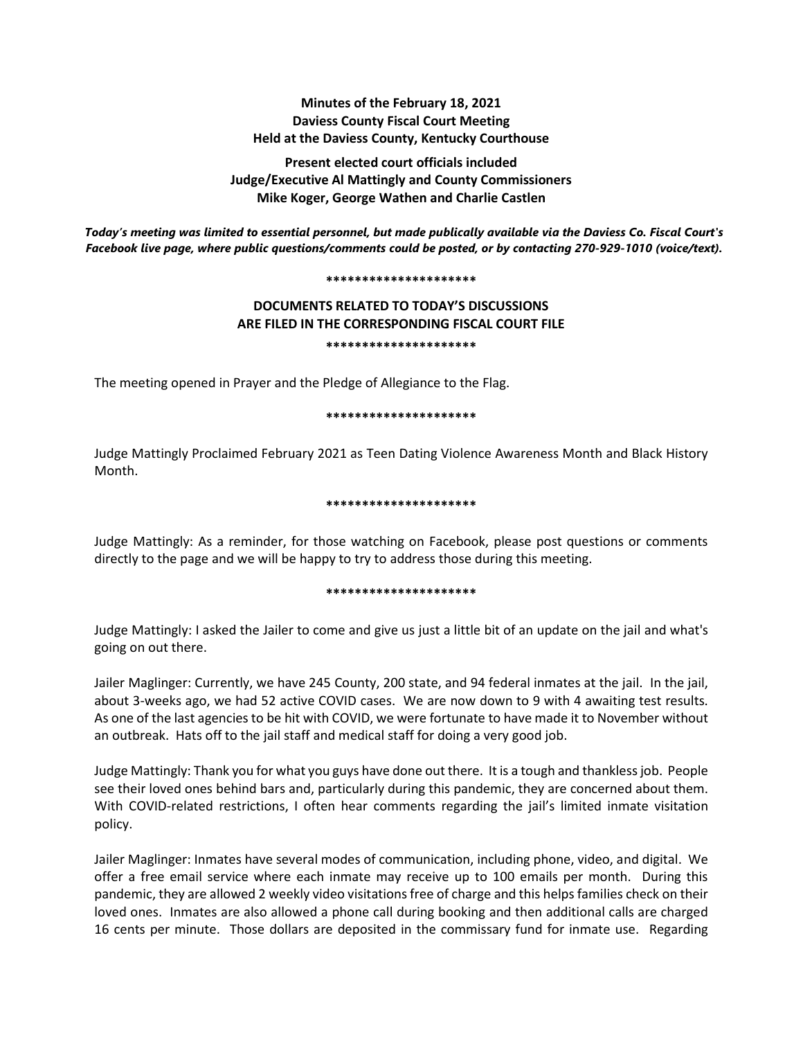# **Minutes of the February 18, 2021 Daviess County Fiscal Court Meeting Held at the Daviess County, Kentucky Courthouse**

**Present elected court officials included Judge/Executive Al Mattingly and County Commissioners Mike Koger, George Wathen and Charlie Castlen**

*Today's meeting was limited to essential personnel, but made publically available via the Daviess Co. Fiscal Court's Facebook live page, where public questions/comments could be posted, or by contacting 270-929-1010 (voice/text).*

#### **\*\*\*\*\*\*\*\*\*\*\*\*\*\*\*\*\*\*\*\*\***

# **DOCUMENTS RELATED TO TODAY'S DISCUSSIONS ARE FILED IN THE CORRESPONDING FISCAL COURT FILE \*\*\*\*\*\*\*\*\*\*\*\*\*\*\*\*\*\*\*\*\***

The meeting opened in Prayer and the Pledge of Allegiance to the Flag.

#### **\*\*\*\*\*\*\*\*\*\*\*\*\*\*\*\*\*\*\*\*\***

Judge Mattingly Proclaimed February 2021 as Teen Dating Violence Awareness Month and Black History Month.

### **\*\*\*\*\*\*\*\*\*\*\*\*\*\*\*\*\*\*\*\*\***

Judge Mattingly: As a reminder, for those watching on Facebook, please post questions or comments directly to the page and we will be happy to try to address those during this meeting.

#### **\*\*\*\*\*\*\*\*\*\*\*\*\*\*\*\*\*\*\*\*\***

Judge Mattingly: I asked the Jailer to come and give us just a little bit of an update on the jail and what's going on out there.

Jailer Maglinger: Currently, we have 245 County, 200 state, and 94 federal inmates at the jail. In the jail, about 3-weeks ago, we had 52 active COVID cases. We are now down to 9 with 4 awaiting test results. As one of the last agencies to be hit with COVID, we were fortunate to have made it to November without an outbreak. Hats off to the jail staff and medical staff for doing a very good job.

Judge Mattingly: Thank you for what you guys have done out there. It is a tough and thankless job. People see their loved ones behind bars and, particularly during this pandemic, they are concerned about them. With COVID-related restrictions, I often hear comments regarding the jail's limited inmate visitation policy.

Jailer Maglinger: Inmates have several modes of communication, including phone, video, and digital. We offer a free email service where each inmate may receive up to 100 emails per month. During this pandemic, they are allowed 2 weekly video visitations free of charge and this helps families check on their loved ones. Inmates are also allowed a phone call during booking and then additional calls are charged 16 cents per minute. Those dollars are deposited in the commissary fund for inmate use. Regarding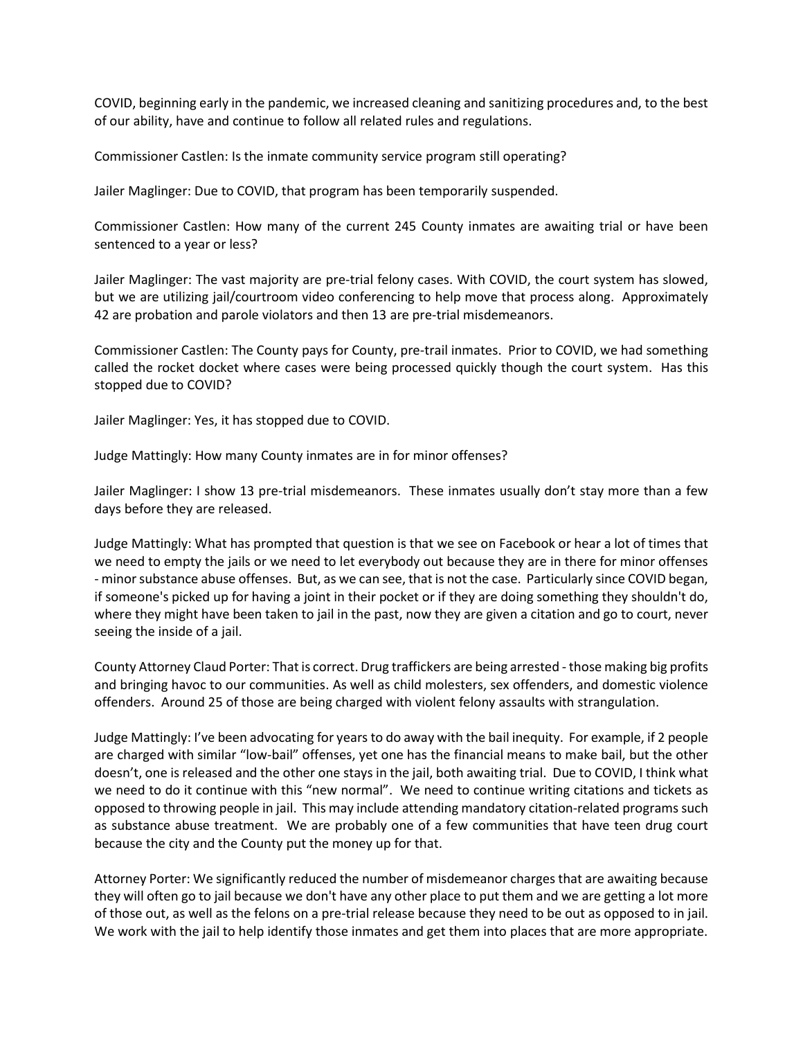COVID, beginning early in the pandemic, we increased cleaning and sanitizing procedures and, to the best of our ability, have and continue to follow all related rules and regulations.

Commissioner Castlen: Is the inmate community service program still operating?

Jailer Maglinger: Due to COVID, that program has been temporarily suspended.

Commissioner Castlen: How many of the current 245 County inmates are awaiting trial or have been sentenced to a year or less?

Jailer Maglinger: The vast majority are pre-trial felony cases. With COVID, the court system has slowed, but we are utilizing jail/courtroom video conferencing to help move that process along. Approximately 42 are probation and parole violators and then 13 are pre-trial misdemeanors.

Commissioner Castlen: The County pays for County, pre-trail inmates. Prior to COVID, we had something called the rocket docket where cases were being processed quickly though the court system. Has this stopped due to COVID?

Jailer Maglinger: Yes, it has stopped due to COVID.

Judge Mattingly: How many County inmates are in for minor offenses?

Jailer Maglinger: I show 13 pre-trial misdemeanors. These inmates usually don't stay more than a few days before they are released.

Judge Mattingly: What has prompted that question is that we see on Facebook or hear a lot of times that we need to empty the jails or we need to let everybody out because they are in there for minor offenses - minor substance abuse offenses. But, as we can see, that is not the case. Particularly since COVID began, if someone's picked up for having a joint in their pocket or if they are doing something they shouldn't do, where they might have been taken to jail in the past, now they are given a citation and go to court, never seeing the inside of a jail.

County Attorney Claud Porter: That is correct. Drug traffickers are being arrested - those making big profits and bringing havoc to our communities. As well as child molesters, sex offenders, and domestic violence offenders. Around 25 of those are being charged with violent felony assaults with strangulation.

Judge Mattingly: I've been advocating for years to do away with the bail inequity. For example, if 2 people are charged with similar "low-bail" offenses, yet one has the financial means to make bail, but the other doesn't, one is released and the other one stays in the jail, both awaiting trial. Due to COVID, I think what we need to do it continue with this "new normal". We need to continue writing citations and tickets as opposed to throwing people in jail. This may include attending mandatory citation-related programs such as substance abuse treatment. We are probably one of a few communities that have teen drug court because the city and the County put the money up for that.

Attorney Porter: We significantly reduced the number of misdemeanor charges that are awaiting because they will often go to jail because we don't have any other place to put them and we are getting a lot more of those out, as well as the felons on a pre-trial release because they need to be out as opposed to in jail. We work with the jail to help identify those inmates and get them into places that are more appropriate.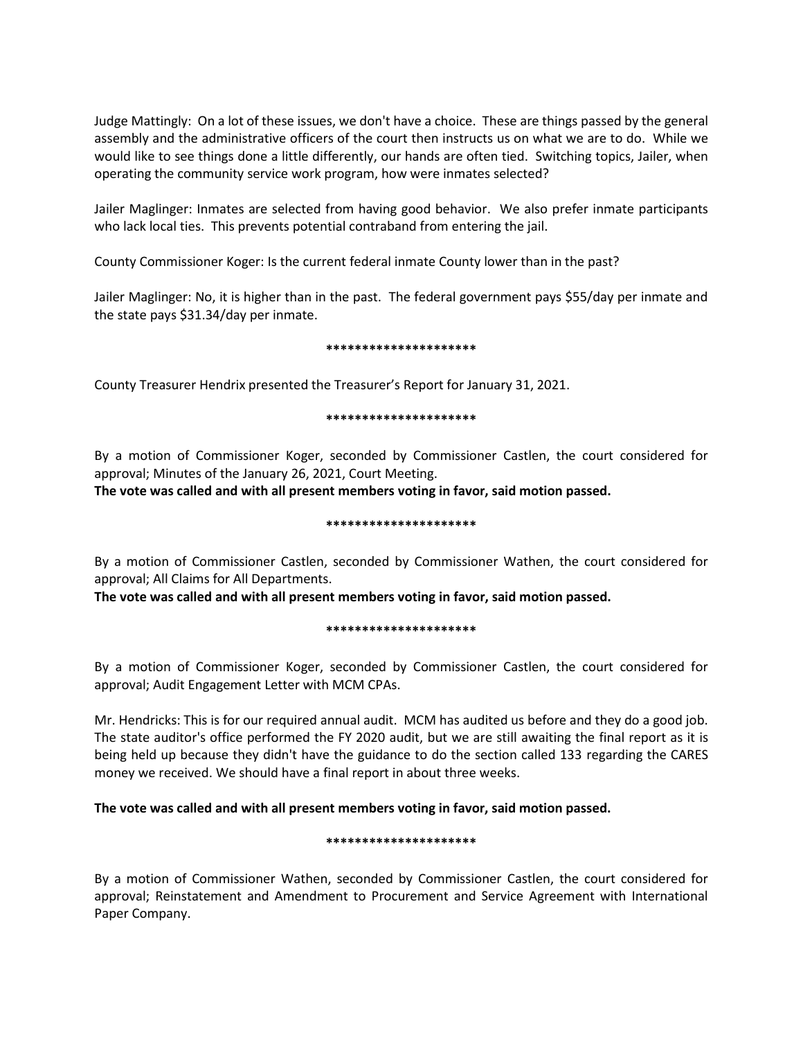Judge Mattingly: On a lot of these issues, we don't have a choice. These are things passed by the general assembly and the administrative officers of the court then instructs us on what we are to do. While we would like to see things done a little differently, our hands are often tied. Switching topics, Jailer, when operating the community service work program, how were inmates selected?

Jailer Maglinger: Inmates are selected from having good behavior. We also prefer inmate participants who lack local ties. This prevents potential contraband from entering the jail.

County Commissioner Koger: Is the current federal inmate County lower than in the past?

Jailer Maglinger: No, it is higher than in the past. The federal government pays \$55/day per inmate and the state pays \$31.34/day per inmate.

### **\*\*\*\*\*\*\*\*\*\*\*\*\*\*\*\*\*\*\*\*\***

County Treasurer Hendrix presented the Treasurer's Report for January 31, 2021.

### **\*\*\*\*\*\*\*\*\*\*\*\*\*\*\*\*\*\*\*\*\***

By a motion of Commissioner Koger, seconded by Commissioner Castlen, the court considered for approval; Minutes of the January 26, 2021, Court Meeting.

**The vote was called and with all present members voting in favor, said motion passed.** 

### **\*\*\*\*\*\*\*\*\*\*\*\*\*\*\*\*\*\*\*\*\***

By a motion of Commissioner Castlen, seconded by Commissioner Wathen, the court considered for approval; All Claims for All Departments.

**The vote was called and with all present members voting in favor, said motion passed.** 

#### **\*\*\*\*\*\*\*\*\*\*\*\*\*\*\*\*\*\*\*\*\***

By a motion of Commissioner Koger, seconded by Commissioner Castlen, the court considered for approval; Audit Engagement Letter with MCM CPAs.

Mr. Hendricks: This is for our required annual audit. MCM has audited us before and they do a good job. The state auditor's office performed the FY 2020 audit, but we are still awaiting the final report as it is being held up because they didn't have the guidance to do the section called 133 regarding the CARES money we received. We should have a final report in about three weeks.

# **The vote was called and with all present members voting in favor, said motion passed.**

# **\*\*\*\*\*\*\*\*\*\*\*\*\*\*\*\*\*\*\*\*\***

By a motion of Commissioner Wathen, seconded by Commissioner Castlen, the court considered for approval; Reinstatement and Amendment to Procurement and Service Agreement with International Paper Company.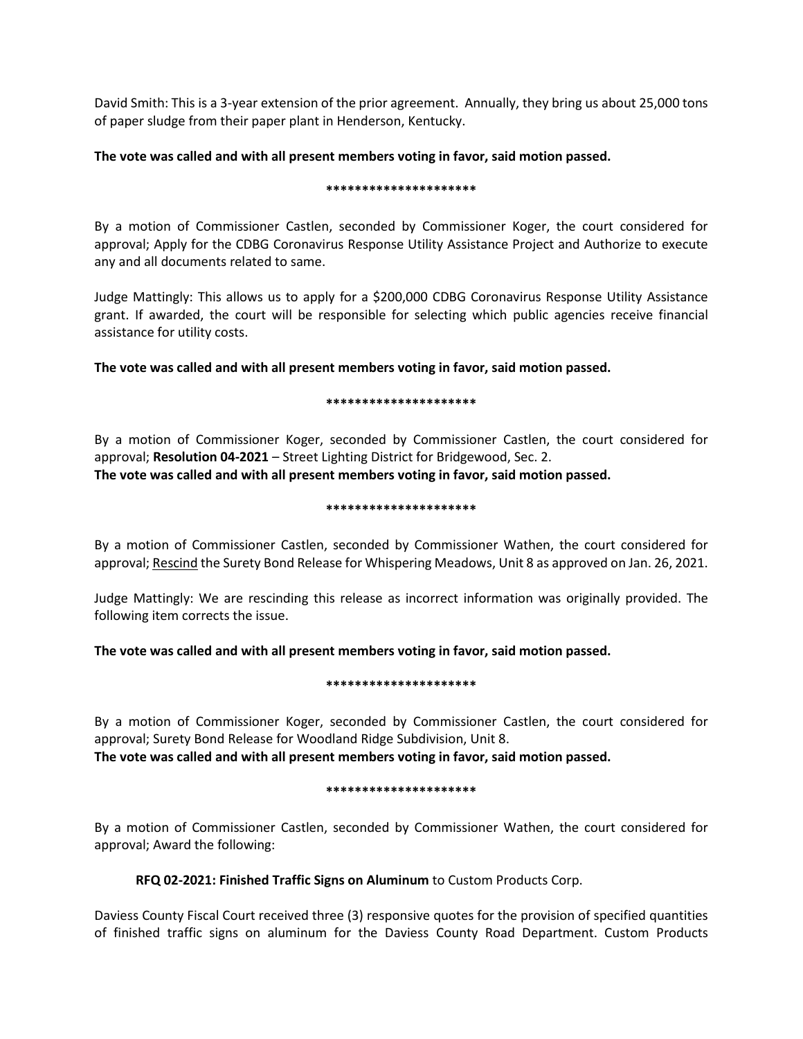David Smith: This is a 3-year extension of the prior agreement. Annually, they bring us about 25,000 tons of paper sludge from their paper plant in Henderson, Kentucky.

# **The vote was called and with all present members voting in favor, said motion passed.**

### **\*\*\*\*\*\*\*\*\*\*\*\*\*\*\*\*\*\*\*\*\***

By a motion of Commissioner Castlen, seconded by Commissioner Koger, the court considered for approval; Apply for the CDBG Coronavirus Response Utility Assistance Project and Authorize to execute any and all documents related to same.

Judge Mattingly: This allows us to apply for a \$200,000 CDBG Coronavirus Response Utility Assistance grant. If awarded, the court will be responsible for selecting which public agencies receive financial assistance for utility costs.

**The vote was called and with all present members voting in favor, said motion passed.** 

### **\*\*\*\*\*\*\*\*\*\*\*\*\*\*\*\*\*\*\*\*\***

By a motion of Commissioner Koger, seconded by Commissioner Castlen, the court considered for approval; **Resolution 04-2021** – Street Lighting District for Bridgewood, Sec. 2. **The vote was called and with all present members voting in favor, said motion passed.** 

### **\*\*\*\*\*\*\*\*\*\*\*\*\*\*\*\*\*\*\*\*\***

By a motion of Commissioner Castlen, seconded by Commissioner Wathen, the court considered for approval; Rescind the Surety Bond Release for Whispering Meadows, Unit 8 as approved on Jan. 26, 2021.

Judge Mattingly: We are rescinding this release as incorrect information was originally provided. The following item corrects the issue.

**The vote was called and with all present members voting in favor, said motion passed.** 

# **\*\*\*\*\*\*\*\*\*\*\*\*\*\*\*\*\*\*\*\*\***

By a motion of Commissioner Koger, seconded by Commissioner Castlen, the court considered for approval; Surety Bond Release for Woodland Ridge Subdivision, Unit 8. **The vote was called and with all present members voting in favor, said motion passed.** 

#### **\*\*\*\*\*\*\*\*\*\*\*\*\*\*\*\*\*\*\*\*\***

By a motion of Commissioner Castlen, seconded by Commissioner Wathen, the court considered for approval; Award the following:

**RFQ 02-2021: Finished Traffic Signs on Aluminum** to Custom Products Corp.

Daviess County Fiscal Court received three (3) responsive quotes for the provision of specified quantities of finished traffic signs on aluminum for the Daviess County Road Department. Custom Products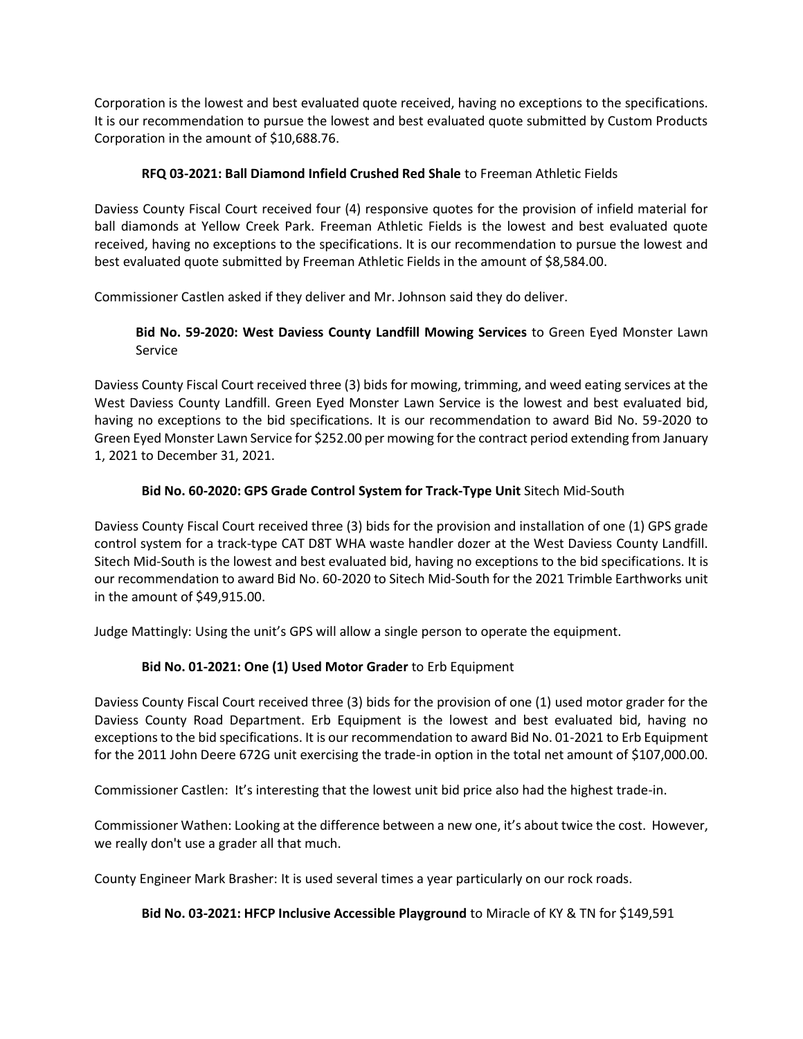Corporation is the lowest and best evaluated quote received, having no exceptions to the specifications. It is our recommendation to pursue the lowest and best evaluated quote submitted by Custom Products Corporation in the amount of \$10,688.76.

# **RFQ 03-2021: Ball Diamond Infield Crushed Red Shale** to Freeman Athletic Fields

Daviess County Fiscal Court received four (4) responsive quotes for the provision of infield material for ball diamonds at Yellow Creek Park. Freeman Athletic Fields is the lowest and best evaluated quote received, having no exceptions to the specifications. It is our recommendation to pursue the lowest and best evaluated quote submitted by Freeman Athletic Fields in the amount of \$8,584.00.

Commissioner Castlen asked if they deliver and Mr. Johnson said they do deliver.

# **Bid No. 59-2020: West Daviess County Landfill Mowing Services** to Green Eyed Monster Lawn Service

Daviess County Fiscal Court received three (3) bids for mowing, trimming, and weed eating services at the West Daviess County Landfill. Green Eyed Monster Lawn Service is the lowest and best evaluated bid, having no exceptions to the bid specifications. It is our recommendation to award Bid No. 59-2020 to Green Eyed Monster Lawn Service for \$252.00 per mowing for the contract period extending from January 1, 2021 to December 31, 2021.

# **Bid No. 60-2020: GPS Grade Control System for Track-Type Unit** Sitech Mid-South

Daviess County Fiscal Court received three (3) bids for the provision and installation of one (1) GPS grade control system for a track-type CAT D8T WHA waste handler dozer at the West Daviess County Landfill. Sitech Mid-South is the lowest and best evaluated bid, having no exceptions to the bid specifications. It is our recommendation to award Bid No. 60-2020 to Sitech Mid-South for the 2021 Trimble Earthworks unit in the amount of \$49,915.00.

Judge Mattingly: Using the unit's GPS will allow a single person to operate the equipment.

# **Bid No. 01-2021: One (1) Used Motor Grader** to Erb Equipment

Daviess County Fiscal Court received three (3) bids for the provision of one (1) used motor grader for the Daviess County Road Department. Erb Equipment is the lowest and best evaluated bid, having no exceptions to the bid specifications. It is our recommendation to award Bid No. 01-2021 to Erb Equipment for the 2011 John Deere 672G unit exercising the trade-in option in the total net amount of \$107,000.00.

Commissioner Castlen: It's interesting that the lowest unit bid price also had the highest trade-in.

Commissioner Wathen: Looking at the difference between a new one, it's about twice the cost. However, we really don't use a grader all that much.

County Engineer Mark Brasher: It is used several times a year particularly on our rock roads.

# **Bid No. 03-2021: HFCP Inclusive Accessible Playground** to Miracle of KY & TN for \$149,591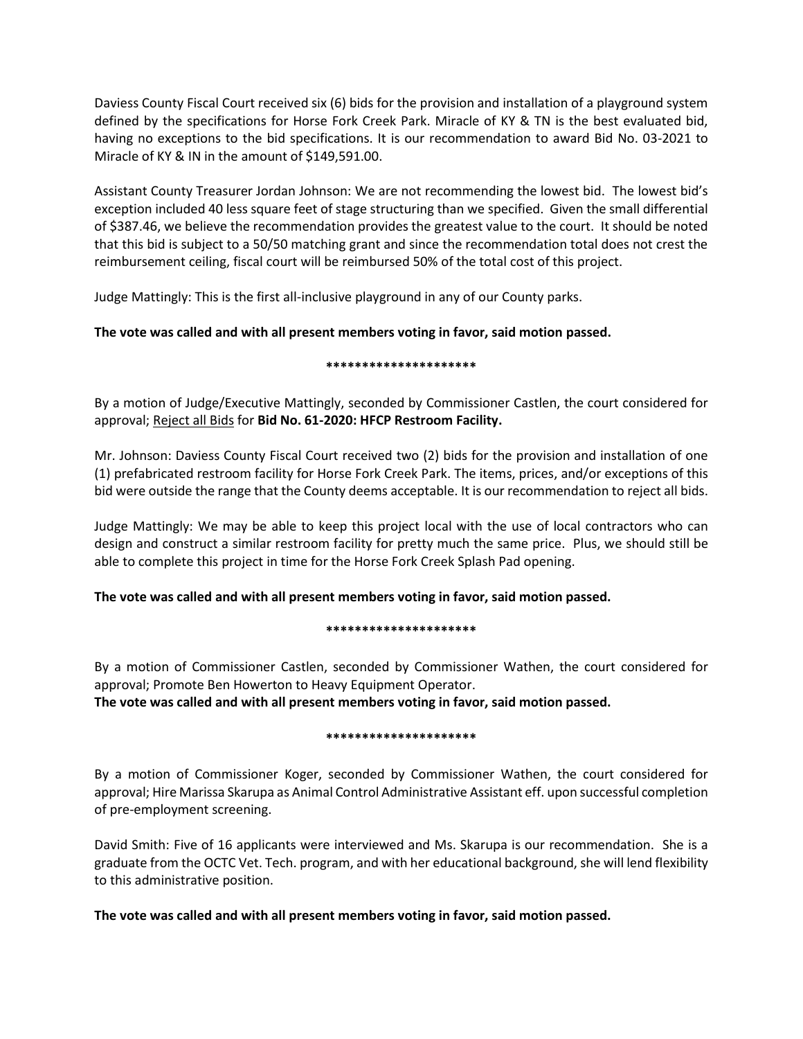Daviess County Fiscal Court received six (6) bids for the provision and installation of a playground system defined by the specifications for Horse Fork Creek Park. Miracle of KY & TN is the best evaluated bid, having no exceptions to the bid specifications. It is our recommendation to award Bid No. 03-2021 to Miracle of KY & IN in the amount of \$149,591.00.

Assistant County Treasurer Jordan Johnson: We are not recommending the lowest bid. The lowest bid's exception included 40 less square feet of stage structuring than we specified. Given the small differential of \$387.46, we believe the recommendation provides the greatest value to the court. It should be noted that this bid is subject to a 50/50 matching grant and since the recommendation total does not crest the reimbursement ceiling, fiscal court will be reimbursed 50% of the total cost of this project.

Judge Mattingly: This is the first all-inclusive playground in any of our County parks.

# **The vote was called and with all present members voting in favor, said motion passed.**

# **\*\*\*\*\*\*\*\*\*\*\*\*\*\*\*\*\*\*\*\*\***

By a motion of Judge/Executive Mattingly, seconded by Commissioner Castlen, the court considered for approval; Reject all Bids for **Bid No. 61-2020: HFCP Restroom Facility.** 

Mr. Johnson: Daviess County Fiscal Court received two (2) bids for the provision and installation of one (1) prefabricated restroom facility for Horse Fork Creek Park. The items, prices, and/or exceptions of this bid were outside the range that the County deems acceptable. It is our recommendation to reject all bids.

Judge Mattingly: We may be able to keep this project local with the use of local contractors who can design and construct a similar restroom facility for pretty much the same price. Plus, we should still be able to complete this project in time for the Horse Fork Creek Splash Pad opening.

**The vote was called and with all present members voting in favor, said motion passed.** 

# **\*\*\*\*\*\*\*\*\*\*\*\*\*\*\*\*\*\*\*\*\***

By a motion of Commissioner Castlen, seconded by Commissioner Wathen, the court considered for approval; Promote Ben Howerton to Heavy Equipment Operator.

**The vote was called and with all present members voting in favor, said motion passed.** 

# **\*\*\*\*\*\*\*\*\*\*\*\*\*\*\*\*\*\*\*\*\***

By a motion of Commissioner Koger, seconded by Commissioner Wathen, the court considered for approval; Hire Marissa Skarupa as Animal Control Administrative Assistant eff. upon successful completion of pre-employment screening.

David Smith: Five of 16 applicants were interviewed and Ms. Skarupa is our recommendation. She is a graduate from the OCTC Vet. Tech. program, and with her educational background, she will lend flexibility to this administrative position.

**The vote was called and with all present members voting in favor, said motion passed.**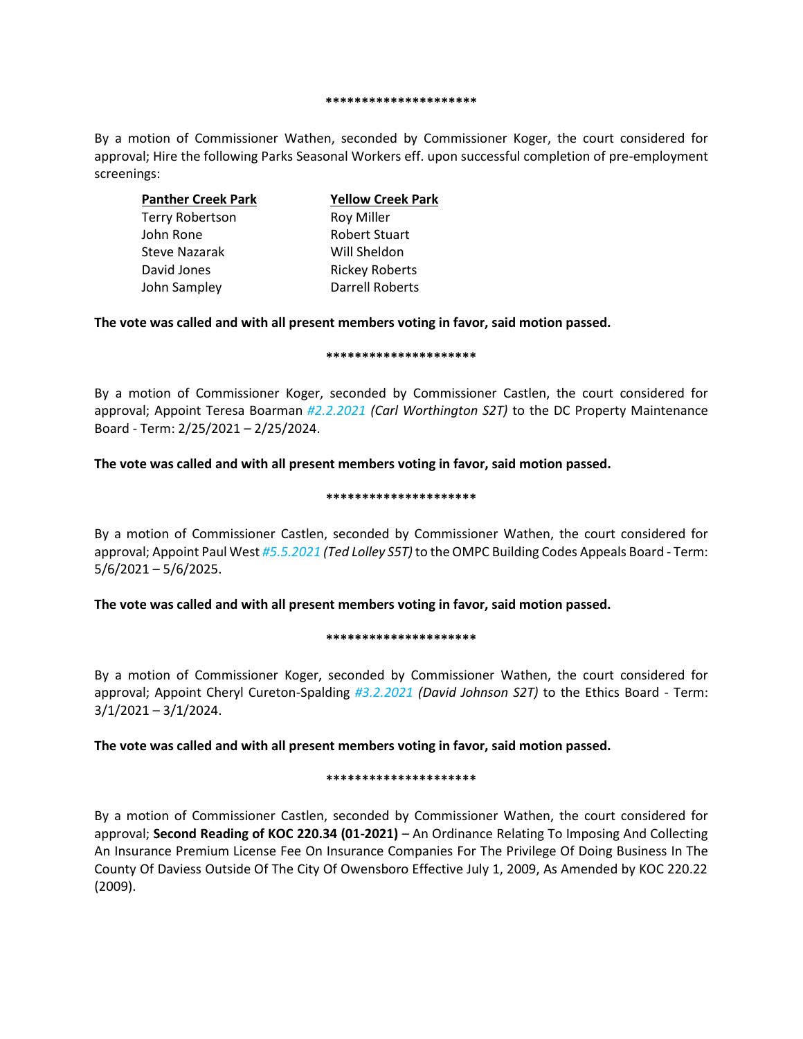#### **\*\*\*\*\*\*\*\*\*\*\*\*\*\*\*\*\*\*\*\*\***

By a motion of Commissioner Wathen, seconded by Commissioner Koger, the court considered for approval; Hire the following Parks Seasonal Workers eff. upon successful completion of pre-employment screenings:

| <b>Panther Creek Park</b> | <b>Yellow Creek Park</b> |
|---------------------------|--------------------------|
| <b>Terry Robertson</b>    | <b>Roy Miller</b>        |
| John Rone                 | <b>Robert Stuart</b>     |
| <b>Steve Nazarak</b>      | Will Sheldon             |
| David Jones               | <b>Rickey Roberts</b>    |
| John Sampley              | Darrell Roberts          |

# **The vote was called and with all present members voting in favor, said motion passed.**

#### **\*\*\*\*\*\*\*\*\*\*\*\*\*\*\*\*\*\*\*\*\***

By a motion of Commissioner Koger, seconded by Commissioner Castlen, the court considered for approval; Appoint Teresa Boarman *#2.2.2021 (Carl Worthington S2T)* to the DC Property Maintenance Board - Term: 2/25/2021 – 2/25/2024.

# **The vote was called and with all present members voting in favor, said motion passed.**

#### **\*\*\*\*\*\*\*\*\*\*\*\*\*\*\*\*\*\*\*\*\***

By a motion of Commissioner Castlen, seconded by Commissioner Wathen, the court considered for approval; Appoint Paul West *#5.5.2021 (Ted Lolley S5T)* to the OMPC Building Codes Appeals Board - Term: 5/6/2021 – 5/6/2025.

# **The vote was called and with all present members voting in favor, said motion passed.**

#### **\*\*\*\*\*\*\*\*\*\*\*\*\*\*\*\*\*\*\*\*\***

By a motion of Commissioner Koger, seconded by Commissioner Wathen, the court considered for approval; Appoint Cheryl Cureton-Spalding *#3.2.2021 (David Johnson S2T)* to the Ethics Board - Term: 3/1/2021 – 3/1/2024.

# **The vote was called and with all present members voting in favor, said motion passed.**

#### **\*\*\*\*\*\*\*\*\*\*\*\*\*\*\*\*\*\*\*\*\***

By a motion of Commissioner Castlen, seconded by Commissioner Wathen, the court considered for approval; **Second Reading of KOC 220.34 (01-2021)** – An Ordinance Relating To Imposing And Collecting An Insurance Premium License Fee On Insurance Companies For The Privilege Of Doing Business In The County Of Daviess Outside Of The City Of Owensboro Effective July 1, 2009, As Amended by KOC 220.22 (2009).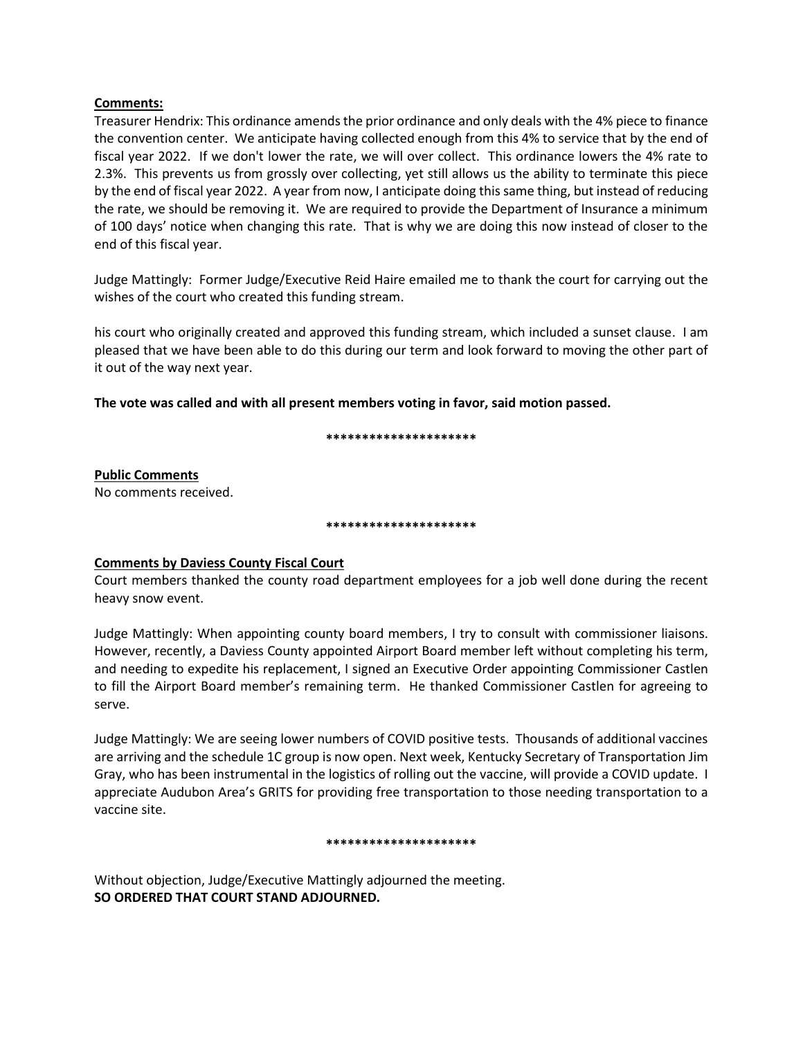# **Comments:**

Treasurer Hendrix: This ordinance amends the prior ordinance and only deals with the 4% piece to finance the convention center. We anticipate having collected enough from this 4% to service that by the end of fiscal year 2022. If we don't lower the rate, we will over collect. This ordinance lowers the 4% rate to 2.3%. This prevents us from grossly over collecting, yet still allows us the ability to terminate this piece by the end of fiscal year 2022. A year from now, I anticipate doing this same thing, but instead of reducing the rate, we should be removing it. We are required to provide the Department of Insurance a minimum of 100 days' notice when changing this rate. That is why we are doing this now instead of closer to the end of this fiscal year.

Judge Mattingly: Former Judge/Executive Reid Haire emailed me to thank the court for carrying out the wishes of the court who created this funding stream.

his court who originally created and approved this funding stream, which included a sunset clause. I am pleased that we have been able to do this during our term and look forward to moving the other part of it out of the way next year.

**The vote was called and with all present members voting in favor, said motion passed.** 

### **\*\*\*\*\*\*\*\*\*\*\*\*\*\*\*\*\*\*\*\*\***

**Public Comments**  No comments received.

#### **\*\*\*\*\*\*\*\*\*\*\*\*\*\*\*\*\*\*\*\*\***

# **Comments by Daviess County Fiscal Court**

Court members thanked the county road department employees for a job well done during the recent heavy snow event.

Judge Mattingly: When appointing county board members, I try to consult with commissioner liaisons. However, recently, a Daviess County appointed Airport Board member left without completing his term, and needing to expedite his replacement, I signed an Executive Order appointing Commissioner Castlen to fill the Airport Board member's remaining term. He thanked Commissioner Castlen for agreeing to serve.

Judge Mattingly: We are seeing lower numbers of COVID positive tests. Thousands of additional vaccines are arriving and the schedule 1C group is now open. Next week, Kentucky Secretary of Transportation Jim Gray, who has been instrumental in the logistics of rolling out the vaccine, will provide a COVID update. I appreciate Audubon Area's GRITS for providing free transportation to those needing transportation to a vaccine site.

#### **\*\*\*\*\*\*\*\*\*\*\*\*\*\*\*\*\*\*\*\*\***

Without objection, Judge/Executive Mattingly adjourned the meeting. **SO ORDERED THAT COURT STAND ADJOURNED.**